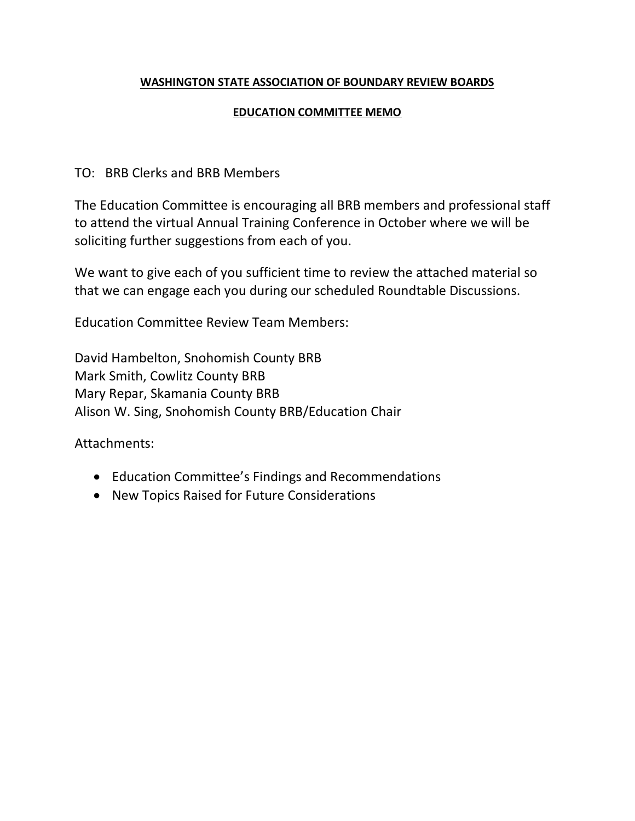## **WASHINGTON STATE ASSOCIATION OF BOUNDARY REVIEW BOARDS**

## **EDUCATION COMMITTEE MEMO**

# TO: BRB Clerks and BRB Members

The Education Committee is encouraging all BRB members and professional staff to attend the virtual Annual Training Conference in October where we will be soliciting further suggestions from each of you.

We want to give each of you sufficient time to review the attached material so that we can engage each you during our scheduled Roundtable Discussions.

Education Committee Review Team Members:

David Hambelton, Snohomish County BRB Mark Smith, Cowlitz County BRB Mary Repar, Skamania County BRB Alison W. Sing, Snohomish County BRB/Education Chair

Attachments:

- Education Committee's Findings and Recommendations
- New Topics Raised for Future Considerations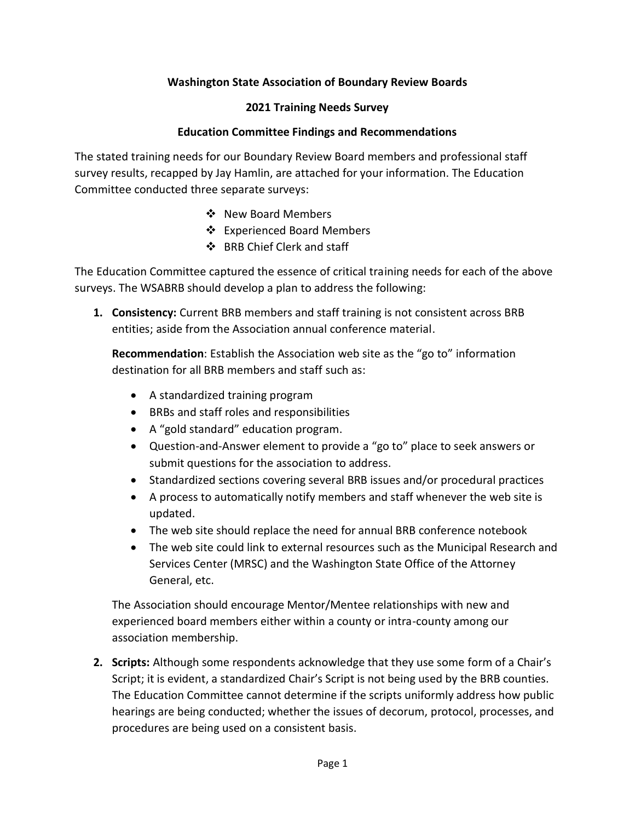## **Washington State Association of Boundary Review Boards**

#### **2021 Training Needs Survey**

#### **Education Committee Findings and Recommendations**

The stated training needs for our Boundary Review Board members and professional staff survey results, recapped by Jay Hamlin, are attached for your information. The Education Committee conducted three separate surveys:

- ❖ New Board Members
- ❖ Experienced Board Members
- ❖ BRB Chief Clerk and staff

The Education Committee captured the essence of critical training needs for each of the above surveys. The WSABRB should develop a plan to address the following:

**1. Consistency:** Current BRB members and staff training is not consistent across BRB entities; aside from the Association annual conference material.

**Recommendation**: Establish the Association web site as the "go to" information destination for all BRB members and staff such as:

- A standardized training program
- BRBs and staff roles and responsibilities
- A "gold standard" education program.
- Question-and-Answer element to provide a "go to" place to seek answers or submit questions for the association to address.
- Standardized sections covering several BRB issues and/or procedural practices
- A process to automatically notify members and staff whenever the web site is updated.
- The web site should replace the need for annual BRB conference notebook
- The web site could link to external resources such as the Municipal Research and Services Center (MRSC) and the Washington State Office of the Attorney General, etc.

The Association should encourage Mentor/Mentee relationships with new and experienced board members either within a county or intra-county among our association membership.

**2. Scripts:** Although some respondents acknowledge that they use some form of a Chair's Script; it is evident, a standardized Chair's Script is not being used by the BRB counties. The Education Committee cannot determine if the scripts uniformly address how public hearings are being conducted; whether the issues of decorum, protocol, processes, and procedures are being used on a consistent basis.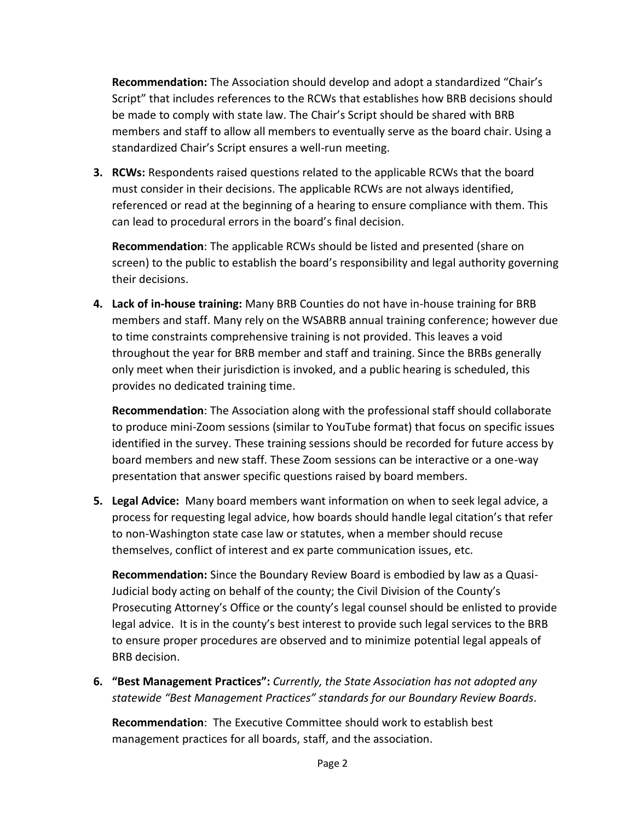**Recommendation:** The Association should develop and adopt a standardized "Chair's Script" that includes references to the RCWs that establishes how BRB decisions should be made to comply with state law. The Chair's Script should be shared with BRB members and staff to allow all members to eventually serve as the board chair. Using a standardized Chair's Script ensures a well-run meeting.

**3. RCWs:** Respondents raised questions related to the applicable RCWs that the board must consider in their decisions. The applicable RCWs are not always identified, referenced or read at the beginning of a hearing to ensure compliance with them. This can lead to procedural errors in the board's final decision.

**Recommendation**: The applicable RCWs should be listed and presented (share on screen) to the public to establish the board's responsibility and legal authority governing their decisions.

**4. Lack of in-house training:** Many BRB Counties do not have in-house training for BRB members and staff. Many rely on the WSABRB annual training conference; however due to time constraints comprehensive training is not provided. This leaves a void throughout the year for BRB member and staff and training. Since the BRBs generally only meet when their jurisdiction is invoked, and a public hearing is scheduled, this provides no dedicated training time.

**Recommendation**: The Association along with the professional staff should collaborate to produce mini-Zoom sessions (similar to YouTube format) that focus on specific issues identified in the survey. These training sessions should be recorded for future access by board members and new staff. These Zoom sessions can be interactive or a one-way presentation that answer specific questions raised by board members.

**5. Legal Advice:** Many board members want information on when to seek legal advice, a process for requesting legal advice, how boards should handle legal citation's that refer to non-Washington state case law or statutes, when a member should recuse themselves, conflict of interest and ex parte communication issues, etc.

**Recommendation:** Since the Boundary Review Board is embodied by law as a Quasi-Judicial body acting on behalf of the county; the Civil Division of the County's Prosecuting Attorney's Office or the county's legal counsel should be enlisted to provide legal advice. It is in the county's best interest to provide such legal services to the BRB to ensure proper procedures are observed and to minimize potential legal appeals of BRB decision.

**6. "Best Management Practices":** *Currently, the State Association has not adopted any statewide "Best Management Practices" standards for our Boundary Review Boards.*

**Recommendation**: The Executive Committee should work to establish best management practices for all boards, staff, and the association.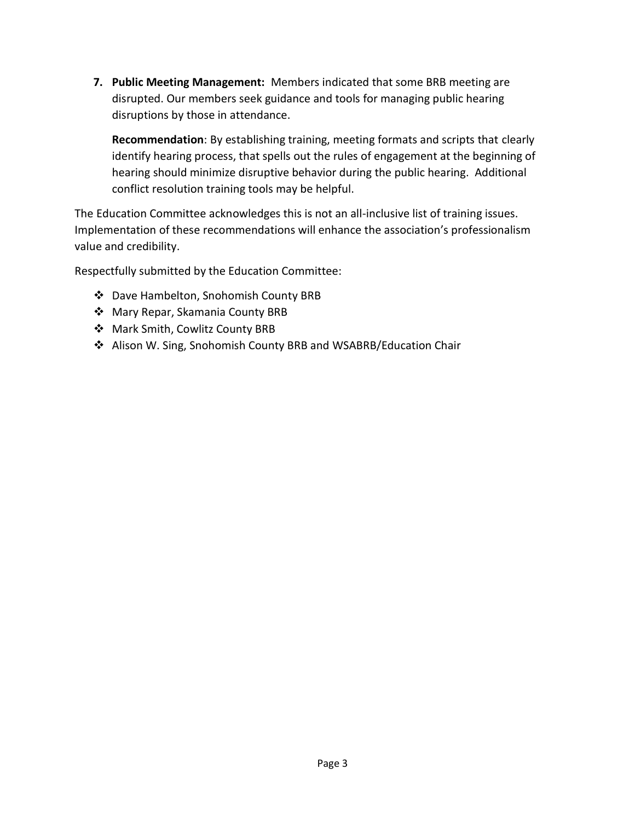**7. Public Meeting Management:** Members indicated that some BRB meeting are disrupted. Our members seek guidance and tools for managing public hearing disruptions by those in attendance.

**Recommendation**: By establishing training, meeting formats and scripts that clearly identify hearing process, that spells out the rules of engagement at the beginning of hearing should minimize disruptive behavior during the public hearing. Additional conflict resolution training tools may be helpful.

The Education Committee acknowledges this is not an all-inclusive list of training issues. Implementation of these recommendations will enhance the association's professionalism value and credibility.

Respectfully submitted by the Education Committee:

- ❖ Dave Hambelton, Snohomish County BRB
- ❖ Mary Repar, Skamania County BRB
- ❖ Mark Smith, Cowlitz County BRB
- ❖ Alison W. Sing, Snohomish County BRB and WSABRB/Education Chair